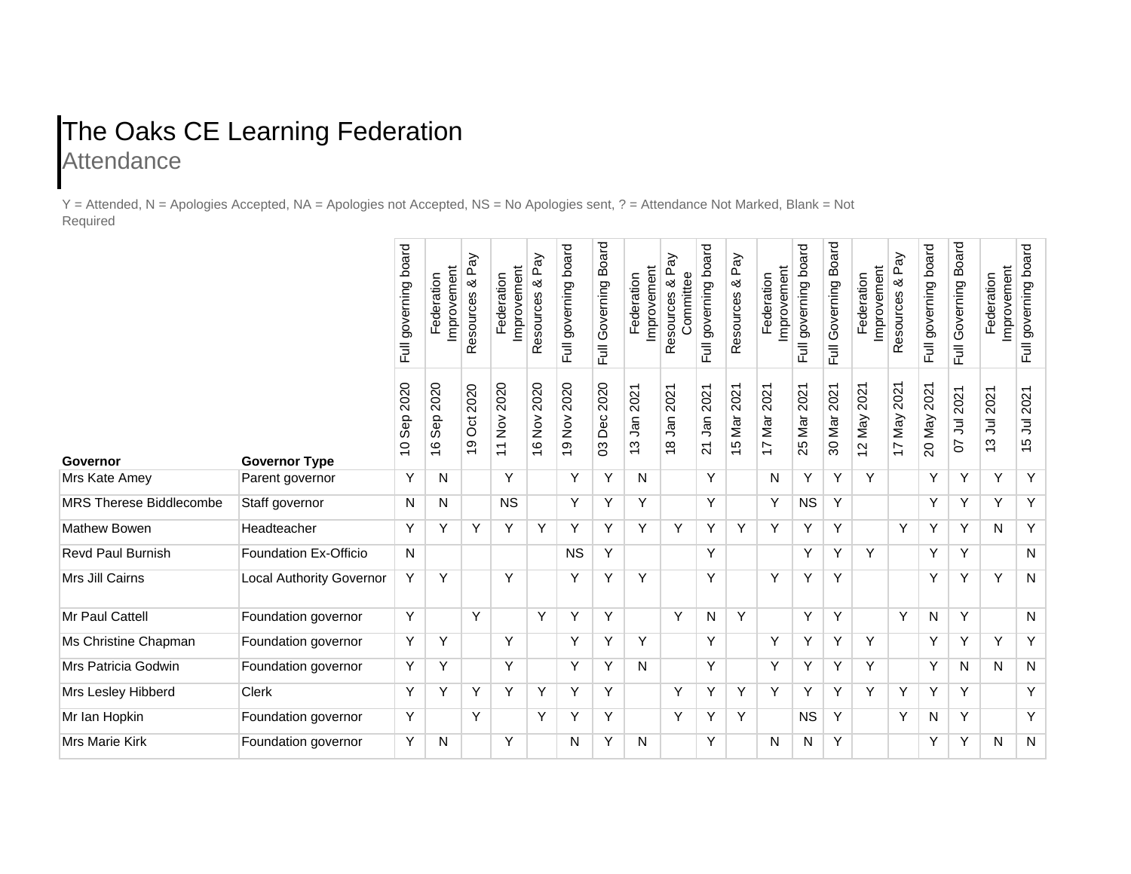## The Oaks CE Learning Federation **Attendance**

Y = Attended, N = Apologies Accepted, NA = Apologies not Accepted, NS = No Apologies sent, ? = Attendance Not Marked, Blank = Not Required

|                                |                                 | Full governing board          | Improvement<br>Federation    | Resources & Pay  | Improvement<br>Federation                         | Resources & Pay | board<br>governing<br>Full                                       | Governing Board<br>ー<br>トー | Improvement<br>Federation | & Pay<br>Committee<br>Resources | governing board<br>こ<br>トリ | Pay<br>Resources & | Improvement<br>Federation     | governing board<br>ー<br>トー | Board<br>Governing<br>Full | improvement<br>Federation                                      | λé<br>L<br>∞<br>Resources     | board<br>governing<br>言       | Board<br>Full Governing | Improvement<br>Federation | Full governing board |
|--------------------------------|---------------------------------|-------------------------------|------------------------------|------------------|---------------------------------------------------|-----------------|------------------------------------------------------------------|----------------------------|---------------------------|---------------------------------|----------------------------|--------------------|-------------------------------|----------------------------|----------------------------|----------------------------------------------------------------|-------------------------------|-------------------------------|-------------------------|---------------------------|----------------------|
| Governor                       | <b>Governor Type</b>            | 2020<br>Sep<br>$\overline{C}$ | 2020<br>Sep<br>$\frac{6}{5}$ | 2020<br>öö<br>Q) | 2020<br>$\frac{5}{2}$<br>$\overline{\phantom{0}}$ | 2020<br>16 Nov  | 2020<br>$\stackrel{\textstyle{>}}{\underline{\mathsf{Q}}}$<br>67 | 2020<br>Dec<br>3           | 2021<br>_<br>ອຸ<br>13     | Jan 2021<br>$\frac{8}{1}$       | 2021<br>۹ā<br>21           | 15 Mar 2021        | 2021<br>Mar<br>$\overline{1}$ | 2021<br>25 Mar             | 2021<br>30 Mar             | 2021<br>Vay<br>$\boldsymbol{\sim}$<br>$\overline{\phantom{0}}$ | 2021<br>Nay<br>$\overline{1}$ | 2021<br>Vay<br>$\overline{0}$ | 2021<br>ミ<br>5          | 2021<br>ミ<br>13           | 2021<br>ミ<br>49      |
| Mrs Kate Amey                  | Parent governor                 | Y                             | N                            |                  | Y                                                 |                 | Y                                                                | Y                          | N                         |                                 | Υ                          |                    | N                             | Y                          | Y                          | Y                                                              |                               | Υ                             | Y                       | Υ                         | Y                    |
| <b>MRS Therese Biddlecombe</b> | Staff governor                  | N                             | N                            |                  | <b>NS</b>                                         |                 | Y                                                                | Y                          | Y                         |                                 | Y                          |                    | Y                             | <b>NS</b>                  | Y                          |                                                                |                               | Y                             | Y                       | Y                         | Y                    |
| Mathew Bowen                   | Headteacher                     | Y                             | Y                            | Y                | Y                                                 | Y               | Y                                                                | Y                          | Y                         | Y                               | Y                          | Y                  | Y                             | Y                          | Y                          |                                                                | Y                             | Y                             | Y                       | N                         | $\overline{Y}$       |
| <b>Revd Paul Burnish</b>       | <b>Foundation Ex-Officio</b>    | N                             |                              |                  |                                                   |                 | <b>NS</b>                                                        | Υ                          |                           |                                 | Υ                          |                    |                               | Υ                          | Υ                          | Υ                                                              |                               | Y                             | Y                       |                           | N                    |
| Mrs Jill Cairns                | <b>Local Authority Governor</b> | Υ                             | Y                            |                  | Y                                                 |                 | Y                                                                | Υ                          | Y                         |                                 | Y                          |                    | Y                             | Υ                          | Y                          |                                                                |                               | Υ                             | Y                       | Υ                         | N                    |
| Mr Paul Cattell                | Foundation governor             | Y                             |                              | Y                |                                                   | Υ               | Y                                                                | Y                          |                           | Y                               | N                          | Y                  |                               | Y                          | Y                          |                                                                | Υ                             | N                             | Y                       |                           | N                    |
| Ms Christine Chapman           | Foundation governor             | Υ                             | Y                            |                  | Y                                                 |                 | Y                                                                | Y                          | Y                         |                                 | Y                          |                    | Y                             | Y                          | Y                          | Y                                                              |                               | Υ                             | Y                       | Y                         | Υ                    |
| Mrs Patricia Godwin            | Foundation governor             | Υ                             | Y                            |                  | $\overline{Y}$                                    |                 | Y                                                                | Y                          | N                         |                                 | Y                          |                    | Y                             | Y                          | Y                          | Y                                                              |                               | Υ                             | N                       | N                         | $\overline{N}$       |
| Mrs Lesley Hibberd             | Clerk                           | Y                             | Y                            | Υ                | Y                                                 | Y               | Υ                                                                | Υ                          |                           | Y                               | Y                          | Y                  | Y                             | Υ                          | Y                          | Y                                                              | Υ                             | Y                             | Y                       |                           | Y                    |
| Mr Ian Hopkin                  | Foundation governor             | Y                             |                              | Y                |                                                   | Υ               | Y                                                                | Y                          |                           | Y                               | Υ                          | Y                  |                               | <b>NS</b>                  | Y                          |                                                                | Υ                             | N                             | Y                       |                           | Y                    |
| Mrs Marie Kirk                 | Foundation governor             | Υ                             | N                            |                  | Y                                                 |                 | N                                                                | Y                          | N                         |                                 | Y                          |                    | N                             | N                          | Y                          |                                                                |                               | Y                             | Y                       | N                         | ${\sf N}$            |